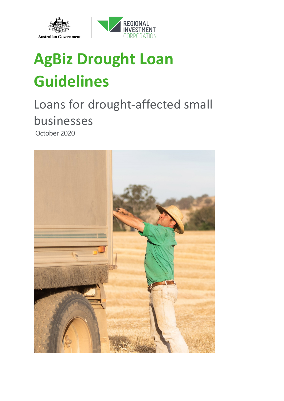



# **AgBiz Drought Loan Guidelines**

### Loans for drought-affected small businesses October 2020

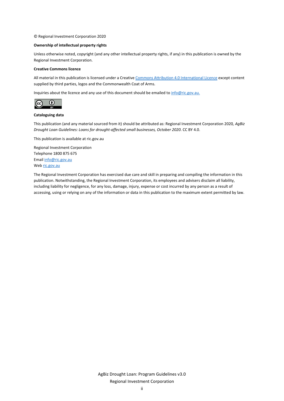© Regional Investment Corporation 2020

#### **Ownership of intellectual property rights**

Unless otherwise noted, copyright (and any other intellectual property rights, if any) in this publication is owned by the Regional Investment Corporation.

#### **Creative Commons licence**

All material in this publication is licensed under a Creativ[e Commons Attribution 4.0 International Licence](https://creativecommons.org/licenses/by/4.0/legalcode) except content supplied by third parties, logos and the Commonwealth Coat of Arms.

Inquiries about the licence and any use of this document should be emailed to [info@ric.gov.au.](mailto:info@ric.gov.au)



#### **Cataloguing data**

This publication (and any material sourced from it) should be attributed as: Regional Investment Corporation 2020*, AgBiz Drought Loan Guidelines: Loans for drought-affected small businesses, October 2020*. CC BY 4.0.

This publication is available at ric.gov.au

Regional Investment Corporation Telephone 1800 875 675 Email [info@ric.gov.au](mailto:ric@agriculture.gov.au) We[b ric.gov.au](http://www.ric.gov.au/)

The Regional Investment Corporation has exercised due care and skill in preparing and compiling the information in this publication. Notwithstanding, the Regional Investment Corporation, its employees and advisers disclaim all liability, including liability for negligence, for any loss, damage, injury, expense or cost incurred by any person as a result of accessing, using or relying on any of the information or data in this publication to the maximum extent permitted by law.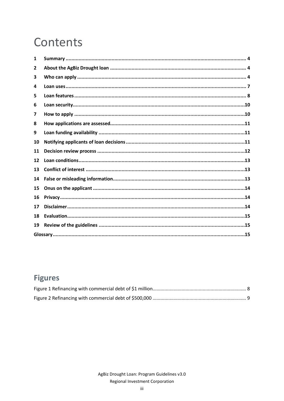## Contents

| 1            |  |  |  |
|--------------|--|--|--|
| $\mathbf{2}$ |  |  |  |
| 3            |  |  |  |
| 4            |  |  |  |
| 5            |  |  |  |
| 6            |  |  |  |
| 7            |  |  |  |
| 8            |  |  |  |
| 9            |  |  |  |
| 10           |  |  |  |
| 11           |  |  |  |
| 12           |  |  |  |
| 13           |  |  |  |
| 14           |  |  |  |
| 15           |  |  |  |
| 16           |  |  |  |
| 17           |  |  |  |
| 18           |  |  |  |
| 19           |  |  |  |
|              |  |  |  |

### **Figures**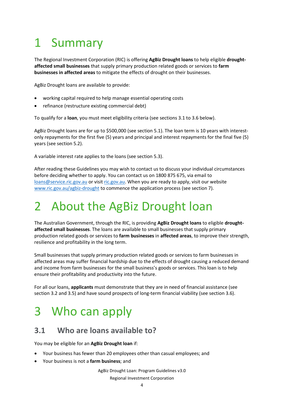## <span id="page-3-0"></span>1 Summary

The Regional Investment Corporation (RIC) is offering **AgBiz Drought loans** to help eligible **droughtaffected small businesses** that supply primary production related goods or services to **farm businesses in affected areas** to mitigate the effects of drought on their businesses.

AgBiz Drought loans are available to provide:

- working capital required to help manage essential operating costs
- refinance (restructure existing commercial debt)

To qualify for a **loan**, you must meet eligibility criteria (see sections 3.1 to 3.6 below).

AgBiz Drought loans are for up to \$500,000 (see section 5.1). The loan term is 10 years with interestonly repayments for the first five (5) years and principal and interest repayments for the final five (5) years (see section 5.2).

A variable interest rate applies to the loans (see section 5.3).

After reading these Guidelines you may wish to contact us to discuss your individual circumstances before deciding whether to apply. You can contact us on 1800 875 675, via email to [loans@service.ric.gov.au](mailto:loans@service.ric.gov.au) or visit [ric.gov.au.](http://www.ric.gov.au/) When you are ready to apply, visit our website [www.ric.gov.au/agbiz-drought](http://www.ric.gov.au/agbiz-drought) to commence the application process (see section 7).

### <span id="page-3-1"></span>2 About the AgBiz Drought loan

The Australian Government, through the RIC, is providing **AgBiz Drought loans** to eligible **droughtaffected small businesses**. The loans are available to small businesses that supply primary production related goods or services to **farm businesses** in **affected areas**, to improve their strength, resilience and profitability in the long term.

Small businesses that supply primary production related goods or services to farm businesses in affected areas may suffer financial hardship due to the effects of drought causing a reduced demand and income from farm businesses for the small business's goods or services. This loan is to help ensure their profitability and productivity into the future.

For all our loans, **applicants** must demonstrate that they are in need of financial assistance (see section 3.2 and 3.5) and have sound prospects of long-term financial viability (see section 3.6).

### <span id="page-3-2"></span>3 Who can apply

#### **3.1 Who are loans available to?**

You may be eligible for an **AgBiz Drought loan** if:

- Your business has fewer than 20 employees other than casual employees; and
- Your business is not a **farm business**; and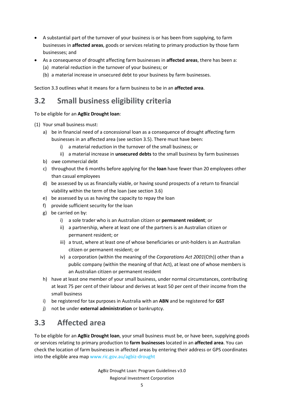- A substantial part of the turnover of your business is or has been from supplying, to farm businesses in **affected areas**, goods or services relating to primary production by those farm businesses; and
- As a consequence of drought affecting farm businesses in **affected areas**, there has been a:
	- (a) material reduction in the turnover of your business; or
	- (b) a material increase in unsecured debt to your business by farm businesses.

Section 3.3 outlines what it means for a farm business to be in an **affected area**.

#### **3.2 Small business eligibility criteria**

To be eligible for an **AgBiz Drought loan**:

- (1) Your small business must:
	- a) be in financial need of a concessional loan as a consequence of drought affecting farm businesses in an affected area (see section 3.5). There must have been:
		- i) a material reduction in the turnover of the small business; or
		- ii) a material increase in **unsecured debts** to the small business by farm businesses
	- b) owe commercial debt
	- c) throughout the 6 months before applying for the **loan** have fewer than 20 employees other than casual employees
	- d) be assessed by us as financially viable, or having sound prospects of a return to financial viability within the term of the loan (see section 3.6)
	- e) be assessed by us as having the capacity to repay the loan
	- f) provide sufficient security for the loan
	- g) be carried on by:
		- i) a sole trader who is an Australian citizen or **permanent resident**; or
		- ii) a partnership, where at least one of the partners is an Australian citizen or permanent resident; or
		- iii) a trust, where at least one of whose beneficiaries or unit-holders is an Australian citizen or permanent resident; or
		- iv) a corporation (within the meaning of the *Corporations Act 2001*(Cth)) other than a public company (within the meaning of that Act), at least one of whose members is an Australian citizen or permanent resident
	- h) have at least one member of your small business, under normal circumstances, contributing at least 75 per cent of their labour and derives at least 50 per cent of their income from the small business
	- i) be registered for tax purposes in Australia with an **ABN** and be registered for **GST**
	- j) not be under **external administration** or bankruptcy.

#### **3.3 Affected area**

To be eligible for an **AgBiz Drought loan**, your small business must be, or have been, supplying goods or services relating to primary production to **farm businesses** located in an **affected area**. You can check the location of farm businesses in affected areas by entering their address or GPS coordinates into the eligible area map www.ric.gov.au/agbiz-drought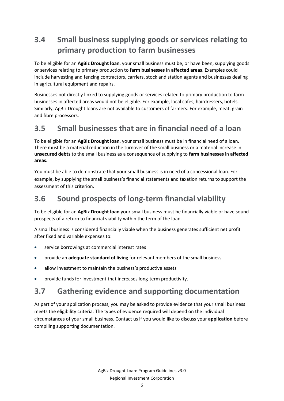### **3.4 Small business supplying goods or services relating to primary production to farm businesses**

To be eligible for an **AgBiz Drought loan**, your small business must be, or have been, supplying goods or services relating to primary production to **farm businesses** in **affected areas**. Examples could include harvesting and fencing contractors, carriers, stock and station agents and businesses dealing in agricultural equipment and repairs.

Businesses not directly linked to supplying goods or services related to primary production to farm businesses in affected areas would not be eligible. For example, local cafes, hairdressers, hotels. Similarly, AgBiz Drought loans are not available to customers of farmers. For example, meat, grain and fibre processors.

### **3.5 Small businesses that are in financial need of a loan**

To be eligible for an **AgBiz Drought loan**, your small business must be in financial need of a loan. There must be a material reduction in the turnover of the small business or a material increase in **unsecured debts** to the small business as a consequence of supplying to **farm businesses** in **affected areas.** 

You must be able to demonstrate that your small business is in need of a concessional loan. For example, by supplying the small business's financial statements and taxation returns to support the assessment of this criterion.

### **3.6 Sound prospects of long-term financial viability**

To be eligible for an **AgBiz Drought loan** your small business must be financially viable or have sound prospects of a return to financial viability within the term of the loan.

A small business is considered financially viable when the business generates sufficient net profit after fixed and variable expenses to:

- service borrowings at commercial interest rates
- provide an **adequate standard of living** for relevant members of the small business
- allow investment to maintain the business's productive assets
- provide funds for investment that increases long-term productivity.

### **3.7 Gathering evidence and supporting documentation**

As part of your application process, you may be asked to provide evidence that your small business meets the eligibility criteria. The types of evidence required will depend on the individual circumstances of your small business. Contact us if you would like to discuss your **application** before compiling supporting documentation.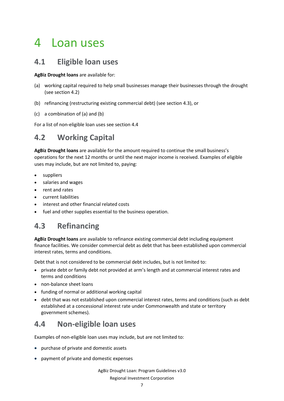### <span id="page-6-0"></span>4 Loan uses

#### **4.1 Eligible loan uses**

**AgBiz Drought loans** are available for:

- (a) working capital required to help small businesses manage their businesses through the drought (see section 4.2)
- (b) refinancing (restructuring existing commercial debt) (see section 4.3), or
- (c) a combination of (a) and (b)

For a list of non-eligible loan uses see section 4.4

### **4.2 Working Capital**

**AgBiz Drought loans** are available for the amount required to continue the small business's operations for the next 12 months or until the next major income is received. Examples of eligible uses may include, but are not limited to, paying:

- **suppliers**
- salaries and wages
- rent and rates
- current liabilities
- interest and other financial related costs
- fuel and other supplies essential to the business operation.

### **4.3 Refinancing**

**AgBiz Drought loans** are available to refinance existing commercial debt including equipment finance facilities. We consider commercial debt as debt that has been established upon commercial interest rates, terms and conditions.

Debt that is not considered to be commercial debt includes, but is not limited to:

- private debt or family debt not provided at arm's length and at commercial interest rates and terms and conditions
- non-balance sheet loans
- funding of normal or additional working capital
- debt that was not established upon commercial interest rates, terms and conditions (such as debt established at a concessional interest rate under Commonwealth and state or territory government schemes).

#### **4.4 Non-eligible loan uses**

Examples of non-eligible loan uses may include, but are not limited to:

- purchase of private and domestic assets
- payment of private and domestic expenses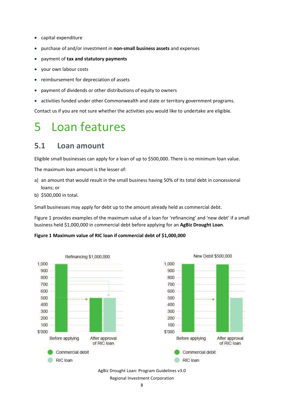- capital expenditure
- purchase of and/or investment in **non-small business assets** and expenses
- payment of **tax and statutory payments**
- your own labour costs
- reimbursement for depreciation of assets
- payment of dividends or other distributions of equity to owners
- activities funded under other Commonwealth and state or territory government programs.

Contact us if you are not sure whether the activities you would like to undertake are eligible.

### <span id="page-7-0"></span>5 Loan features

#### **5.1 Loan amount**

Eligible small businesses can apply for a loan of up to \$500,000. There is no minimum loan value.

The maximum loan amount is the lesser of:

- a) an amount that would result in the small business having 50% of its total debt in concessional loans; or
- b) \$500,000 in total.

Small businesses may apply for debt up to the amount already held as commercial debt.

Figure 1 provides examples of the maximum value of a loan for 'refinancing' and 'new debt' if a small business held \$1,000,000 in commercial debt before applying for an **AgBiz Drought Loan**.

#### **Figure 1 Maximum value of RIC loan if commercial debt of \$1,000,000**



#### AgBiz Drought Loan: Program Guidelines v3.0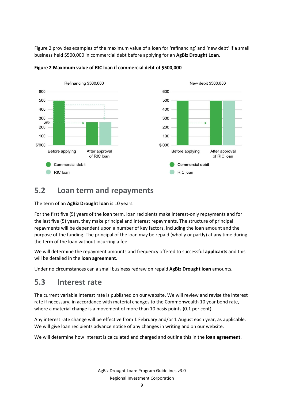Figure 2 provides examples of the maximum value of a loan for 'refinancing' and 'new debt' if a small business held \$500,000 in commercial debt before applying for an **AgBiz Drought Loan**.



#### **Figure 2 Maximum value of RIC loan if commercial debt of \$500,000**

#### **5.2 Loan term and repayments**

The term of an **AgBiz Drought loan** is 10 years.

For the first five (5) years of the loan term, loan recipients make interest-only repayments and for the last five (5) years, they make principal and interest repayments. The structure of principal repayments will be dependent upon a number of key factors, including the loan amount and the purpose of the funding. The principal of the loan may be repaid (wholly or partly) at any time during the term of the loan without incurring a fee.

We will determine the repayment amounts and frequency offered to successful **applicants** and this will be detailed in the **loan agreement**.

Under no circumstances can a small business redraw on repaid **AgBiz Drought loan** amounts.

#### **5.3 Interest rate**

The current variable interest rate is published on our website. We will review and revise the interest rate if necessary, in accordance with material changes to the Commonwealth 10 year bond rate, where a material change is a movement of more than 10 basis points (0.1 per cent).

Any interest rate change will be effective from 1 February and/or 1 August each year, as applicable. We will give loan recipients advance notice of any changes in writing and on our website.

We will determine how interest is calculated and charged and outline this in the **loan agreement**.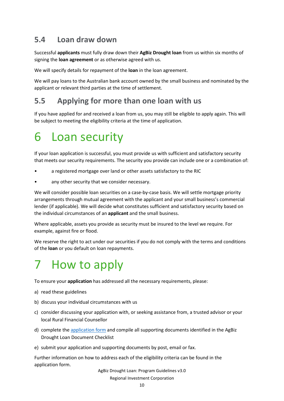#### **5.4 Loan draw down**

Successful **applicants** must fully draw down their **AgBiz Drought loan** from us within six months of signing the **loan agreement** or as otherwise agreed with us.

We will specify details for repayment of the **loan** in the loan agreement.

We will pay loans to the Australian bank account owned by the small business and nominated by the applicant or relevant third parties at the time of settlement.

#### **5.5 Applying for more than one loan with us**

If you have applied for and received a loan from us, you may still be eligible to apply again. This will be subject to meeting the eligibility criteria at the time of application.

### <span id="page-9-0"></span>6 Loan security

If your loan application is successful, you must provide us with sufficient and satisfactory security that meets our security requirements. The security you provide can include one or a combination of:

- a registered mortgage over land or other assets satisfactory to the RIC
- any other security that we consider necessary.

We will consider possible loan securities on a case-by-case basis. We will settle mortgage priority arrangements through mutual agreement with the applicant and your small business's commercial lender (if applicable). We will decide what constitutes sufficient and satisfactory security based on the individual circumstances of an **applicant** and the small business.

Where applicable, assets you provide as security must be insured to the level we require. For example, against fire or flood.

We reserve the right to act under our securities if you do not comply with the terms and conditions of the **loan** or you default on loan repayments.

### <span id="page-9-1"></span>7 How to apply

To ensure your **application** has addressed all the necessary requirements, please:

- a) read these guidelines
- b) discuss your individual circumstances with us
- c) consider discussing your application with, or seeking assistance from, a trusted advisor or your local Rural Financial Counsellor
- d) complete the [application form](http://ric.gov.au/farmers/farm-investment#application-form) and compile all supporting documents identified in the AgBiz Drought Loan Document Checklist
- e) submit your application and supporting documents by post, email or fax.

Further information on how to address each of the eligibility criteria can be found in the application form.

AgBiz Drought Loan: Program Guidelines v3.0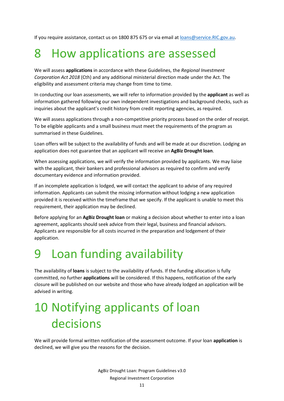If you require assistance, contact us on 1800 875 675 or via email at loans@service.RIC.gov.au.

### <span id="page-10-0"></span>8 How applications are assessed

We will assess **applications** in accordance with these Guidelines, the *Regional Investment Corporation Act 2018* (Cth) and any additional ministerial direction made under the Act. The eligibility and assessment criteria may change from time to time.

In conducting our loan assessments, we will refer to information provided by the **applicant** as well as information gathered following our own independent investigations and background checks, such as inquiries about the applicant's credit history from credit reporting agencies, as required.

We will assess applications through a non-competitive priority process based on the order of receipt. To be eligible applicants and a small business must meet the requirements of the program as summarised in these Guidelines.

Loan offers will be subject to the availability of funds and will be made at our discretion. Lodging an application does not guarantee that an applicant will receive an **AgBiz Drought loan**.

When assessing applications, we will verify the information provided by applicants. We may liaise with the applicant, their bankers and professional advisors as required to confirm and verify documentary evidence and information provided.

If an incomplete application is lodged, we will contact the applicant to advise of any required information. Applicants can submit the missing information without lodging a new application provided it is received within the timeframe that we specify. If the applicant is unable to meet this requirement, their application may be declined.

Before applying for an **AgBiz Drought loan** or making a decision about whether to enter into a loan agreement, applicants should seek advice from their legal, business and financial advisors. Applicants are responsible for all costs incurred in the preparation and lodgement of their application.

### <span id="page-10-1"></span>9 Loan funding availability

The availability of **loans** is subject to the availability of funds. If the funding allocation is fully committed, no further **applications** will be considered. If this happens, notification of the early closure will be published on our website and those who have already lodged an application will be advised in writing.

## <span id="page-10-2"></span>10 Notifying applicants of loan decisions

We will provide formal written notification of the assessment outcome. If your loan **application** is declined, we will give you the reasons for the decision.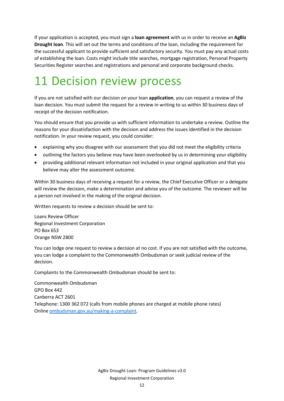If your application is accepted, you must sign a **loan agreement** with us in order to receive an **AgBiz Drought loan**. This will set out the terms and conditions of the loan, including the requirement for the successful applicant to provide sufficient and satisfactory security. You must pay any actual costs of establishing the loan. Costs might include title searches, mortgage registration, Personal Property Securities Register searches and registrations and personal and corporate background checks.

### <span id="page-11-0"></span>11 Decision review process

If you are not satisfied with our decision on your loan **application**, you can request a review of the loan decision. You must submit the request for a review in writing to us within 30 business days of receipt of the decision notification.

You should ensure that you provide us with sufficient information to undertake a review. Outline the reasons for your dissatisfaction with the decision and address the issues identified in the decision notification. In your review request, you could consider:

- explaining why you disagree with our assessment that you did not meet the eligibility criteria
- outlining the factors you believe may have been overlooked by us in determining your eligibility
- providing additional relevant information not included in your original application and that you believe may alter the assessment outcome.

Within 30 business days of receiving a request for a review, the Chief Executive Officer or a delegate will review the decision, make a determination and advise you of the outcome. The reviewer will be a person not involved in the making of the original decision.

Written requests to review a decision should be sent to:

Loans Review Officer Regional Investment Corporation PO Box 653 Orange NSW 2800

You can lodge one request to review a decision at no cost. If you are not satisfied with the outcome, you can lodge a complaint to the Commonwealth Ombudsman or seek judicial review of the decision.

Complaints to the Commonwealth Ombudsman should be sent to:

Commonwealth Ombudsman GPO Box 442 Canberra ACT 2601 Telephone: 1300 362 072 (calls from mobile phones are charged at mobile phone rates) Online [ombudsman.gov.au/making-a-complaint.](http://www.ombudsman.gov.au/making-a-complaint)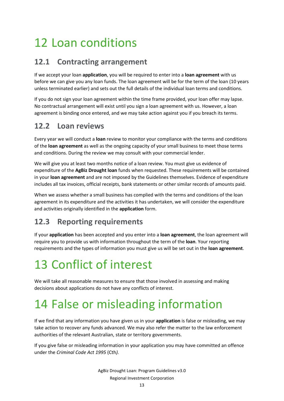## <span id="page-12-0"></span>12 Loan conditions

#### **12.1 Contracting arrangement**

If we accept your loan **application**, you will be required to enter into a **loan agreement** with us before we can give you any loan funds. The loan agreement will be for the term of the loan (10 years unless terminated earlier) and sets out the full details of the individual loan terms and conditions.

If you do not sign your loan agreement within the time frame provided, your loan offer may lapse. No contractual arrangement will exist until you sign a loan agreement with us. However, a loan agreement is binding once entered, and we may take action against you if you breach its terms.

#### **12.2 Loan reviews**

Every year we will conduct a **loan** review to monitor your compliance with the terms and conditions of the **loan agreement** as well as the ongoing capacity of your small business to meet those terms and conditions. During the review we may consult with your commercial lender.

We will give you at least two months notice of a loan review. You must give us evidence of expenditure of the **AgBiz Drought loan** funds when requested. These requirements will be contained in your **loan agreement** and are not imposed by the Guidelines themselves. Evidence of expenditure includes all tax invoices, official receipts, bank statements or other similar records of amounts paid.

When we assess whether a small business has complied with the terms and conditions of the loan agreement in its expenditure and the activities it has undertaken, we will consider the expenditure and activities originally identified in the **application** form.

### **12.3 Reporting requirements**

If your **application** has been accepted and you enter into a **loan agreement**, the loan agreement will require you to provide us with information throughout the term of the **loan**. Your reporting requirements and the types of information you must give us will be set out in the **loan agreement**.

## <span id="page-12-1"></span>13 Conflict of interest

We will take all reasonable measures to ensure that those involved in assessing and making decisions about applications do not have any conflicts of interest.

## <span id="page-12-2"></span>14 False or misleading information

If we find that any information you have given us in your **application** is false or misleading, we may take action to recover any funds advanced. We may also refer the matter to the law enforcement authorities of the relevant Australian, state or territory governments.

If you give false or misleading information in your application you may have committed an offence under the *Criminal Code Act 1995* (Cth*).*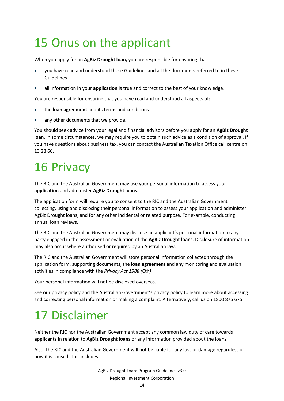## <span id="page-13-0"></span>15 Onus on the applicant

When you apply for an **AgBiz Drought loan,** you are responsible for ensuring that:

- you have read and understood these Guidelines and all the documents referred to in these Guidelines
- all information in your **application** is true and correct to the best of your knowledge.

You are responsible for ensuring that you have read and understood all aspects of:

- the **loan agreement** and its terms and conditions
- any other documents that we provide.

You should seek advice from your legal and financial advisors before you apply for an **AgBiz Drought loan**. In some circumstances, we may require you to obtain such advice as a condition of approval. If you have questions about business tax, you can contact the Australian Taxation Office call centre on 13 28 66.

### <span id="page-13-1"></span>16 Privacy

The RIC and the Australian Government may use your personal information to assess your **application** and administer **AgBiz Drought loans**.

The application form will require you to consent to the RIC and the Australian Government collecting, using and disclosing their personal information to assess your application and administer AgBiz Drought loans, and for any other incidental or related purpose. For example, conducting annual loan reviews.

The RIC and the Australian Government may disclose an applicant's personal information to any party engaged in the assessment or evaluation of the **AgBiz Drought loans**. Disclosure of information may also occur where authorised or required by an Australian law.

The RIC and the Australian Government will store personal information collected through the application form, supporting documents, the **loan agreement** and any monitoring and evaluation activities in compliance with the *Privacy Act 1988 (*Cth*)*.

Your personal information will not be disclosed overseas.

See our privacy policy and the Australian Government's privacy policy to learn more about accessing and correcting personal information or making a complaint. Alternatively, call us on 1800 875 675.

## <span id="page-13-2"></span>17 Disclaimer

Neither the RIC nor the Australian Government accept any common law duty of care towards **applicants** in relation to **AgBiz Drought loans** or any information provided about the loans.

Also, the RIC and the Australian Government will not be liable for any loss or damage regardless of how it is caused. This includes: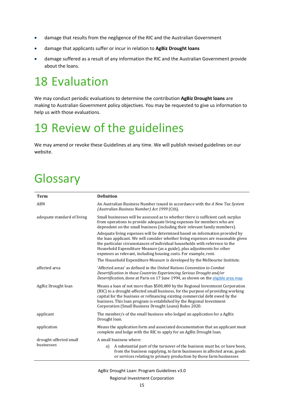- damage that results from the negligence of the RIC and the Australian Government
- damage that applicants suffer or incur in relation to **AgBiz Drought loans**
- damage suffered as a result of any information the RIC and the Australian Government provide about the loans.

### <span id="page-14-0"></span>18 Evaluation

We may conduct periodic evaluations to determine the contribution **AgBiz Drought loans** are making to Australian Government policy objectives. You may be requested to give us information to help us with those evaluations.

### <span id="page-14-1"></span>19 Review of the guidelines

We may amend or revoke these Guidelines at any time. We will publish revised guidelines on our website.

### <span id="page-14-2"></span>Glossary

| <b>Term</b>                 | <b>Definition</b>                                                                                                                                                                                                                                                                                                                                                                                                                                                             |
|-----------------------------|-------------------------------------------------------------------------------------------------------------------------------------------------------------------------------------------------------------------------------------------------------------------------------------------------------------------------------------------------------------------------------------------------------------------------------------------------------------------------------|
| ABN                         | An Australian Business Number issued in accordance with the A New Tax System<br>(Australian Business Number) Act 1999 (Cth).                                                                                                                                                                                                                                                                                                                                                  |
| adequate standard of living | Small businesses will be assessed as to whether there is sufficient cash surplus<br>from operations to provide adequate living expenses for members who are<br>dependent on the small business (including their relevant family members).                                                                                                                                                                                                                                     |
|                             | Adequate living expenses will be determined based on information provided by<br>the loan applicant. We will consider whether living expenses are reasonable given<br>the particular circumstances of individual households with reference to the<br>Household Expenditure Measure (as a guide), plus adjustments for other<br>expenses as relevant, including housing costs. For example, rent.<br>The Household Expenditure Measure is developed by the Melbourne Institute. |
|                             |                                                                                                                                                                                                                                                                                                                                                                                                                                                                               |
| affected area               | 'Affected areas' as defined in the United Nations Convention to Combat<br>Desertification in those Countries Experiencing Serious Drought and/or<br>Desertification, done at Paris on 17 June 1994, as shown on the eligible area map                                                                                                                                                                                                                                         |
| AgBiz Drought loan          | Means a loan of not more than \$500,000 by the Regional Investment Corporation<br>(RIC) to a drought-affected small business, for the purpose of providing working<br>capital for the business or refinancing existing commercial debt owed by the<br>business. This loan program is established by the Regional Investment<br>Corporation (Small Business Drought Loans) Rules 2020.                                                                                         |
| applicant                   | The member/s of the small business who lodged an application for a AgBiz<br>Drought loan.                                                                                                                                                                                                                                                                                                                                                                                     |
| application                 | Means the application form and associated documentation that an applicant must<br>complete and lodge with the RIC to apply for an AgBiz Drought loan.                                                                                                                                                                                                                                                                                                                         |
| drought-affected small      | A small business where:                                                                                                                                                                                                                                                                                                                                                                                                                                                       |
| businesses                  | A substantial part of the turnover of the business must be, or have been,<br>a)<br>from the business supplying, to farm businesses in affected areas, goods<br>or services relating to primary production by those farm businesses                                                                                                                                                                                                                                            |

#### AgBiz Drought Loan: Program Guidelines v3.0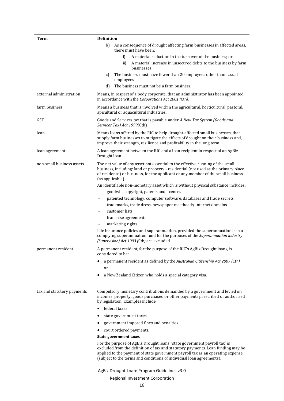| Term                       | <b>Definition</b>                                                                                                                                                                                                                                                                                                      |
|----------------------------|------------------------------------------------------------------------------------------------------------------------------------------------------------------------------------------------------------------------------------------------------------------------------------------------------------------------|
|                            | As a consequence of drought affecting farm businesses in affected areas,<br>b)<br>there must have been:                                                                                                                                                                                                                |
|                            | A material reduction in the turnover of the business; or<br>i)                                                                                                                                                                                                                                                         |
|                            | A material increase in unsecured debts to the business by farm<br>ii)<br>businesses                                                                                                                                                                                                                                    |
|                            | The business must have fewer than 20 employees other than casual<br>C)<br>employees                                                                                                                                                                                                                                    |
|                            | The business must not be a farm business.<br>d)                                                                                                                                                                                                                                                                        |
| external administration    | Means, in respect of a body corporate, that an administrator has been appointed<br>in accordance with the Corporations Act 2001 (Cth).                                                                                                                                                                                 |
| farm business              | Means a business that is involved within the agricultural, horticultural, pastoral,<br>apicultural or aquacultural industries.                                                                                                                                                                                         |
| <b>GST</b>                 | Goods and Services tax that is payable under A New Tax System (Goods and<br>Services Tax) Act 1999(Cth)                                                                                                                                                                                                                |
| loan                       | Means loans offered by the RIC to help drought-affected small businesses, that<br>supply farm businesses to mitigate the effects of drought on their business and,<br>improve their strength, resilience and profitability in the long term.                                                                           |
| loan agreement             | A loan agreement between the RIC and a loan recipient in respect of an AgBiz<br>Drought loan.                                                                                                                                                                                                                          |
| non-small business assets  | The net value of any asset not essential to the effective running of the small<br>business, including: land or property - residential (not used as the primary place<br>of residence) or business, for the applicant or any member of the small business<br>(as applicable).                                           |
|                            | An identifiable non-monetary asset which is without physical substance includes:                                                                                                                                                                                                                                       |
|                            | goodwill, copyright, patents and licences                                                                                                                                                                                                                                                                              |
|                            | patented technology, computer software, databases and trade secrets                                                                                                                                                                                                                                                    |
|                            | trademarks, trade dress, newspaper mastheads, internet domains<br>$\overline{\phantom{a}}$                                                                                                                                                                                                                             |
|                            | customer lists                                                                                                                                                                                                                                                                                                         |
|                            | franchise agreements<br>$\overline{\phantom{a}}$                                                                                                                                                                                                                                                                       |
|                            | marketing rights.<br>$\frac{1}{2}$                                                                                                                                                                                                                                                                                     |
|                            | Life insurance policies and superannuation, provided the superannuation is in a<br>complying superannuation fund for the purposes of the Superannuation Industry<br>(Supervision) Act 1993 (Cth) are excluded.                                                                                                         |
| permanent resident         | A permanent resident, for the purpose of the RIC's AgBiz Drought loans, is<br>considered to be:                                                                                                                                                                                                                        |
|                            | a permanent resident as defined by the Australian Citizenship Act 2007 (Cth)<br>or                                                                                                                                                                                                                                     |
|                            | a New Zealand Citizen who holds a special category visa.                                                                                                                                                                                                                                                               |
| tax and statutory payments | Compulsory monetary contributions demanded by a government and levied on<br>incomes, property, goods purchased or other payments prescribed or authorised<br>by legislation. Examples include:                                                                                                                         |
|                            | federal taxes                                                                                                                                                                                                                                                                                                          |
|                            | state government taxes                                                                                                                                                                                                                                                                                                 |
|                            | government imposed fines and penalties<br>٠                                                                                                                                                                                                                                                                            |
|                            | court ordered payments.                                                                                                                                                                                                                                                                                                |
|                            | <b>State government taxes</b>                                                                                                                                                                                                                                                                                          |
|                            | For the purpose of AgBiz Drought loans, 'state government payroll tax' is<br>excluded from the definition of tax and statutory payments. Loan funding may be<br>applied to the payment of state government payroll tax as an operating expense<br>(subject to the terms and conditions of individual loan agreements). |
|                            | AgBiz Drought Loan: Program Guidelines v3.0                                                                                                                                                                                                                                                                            |